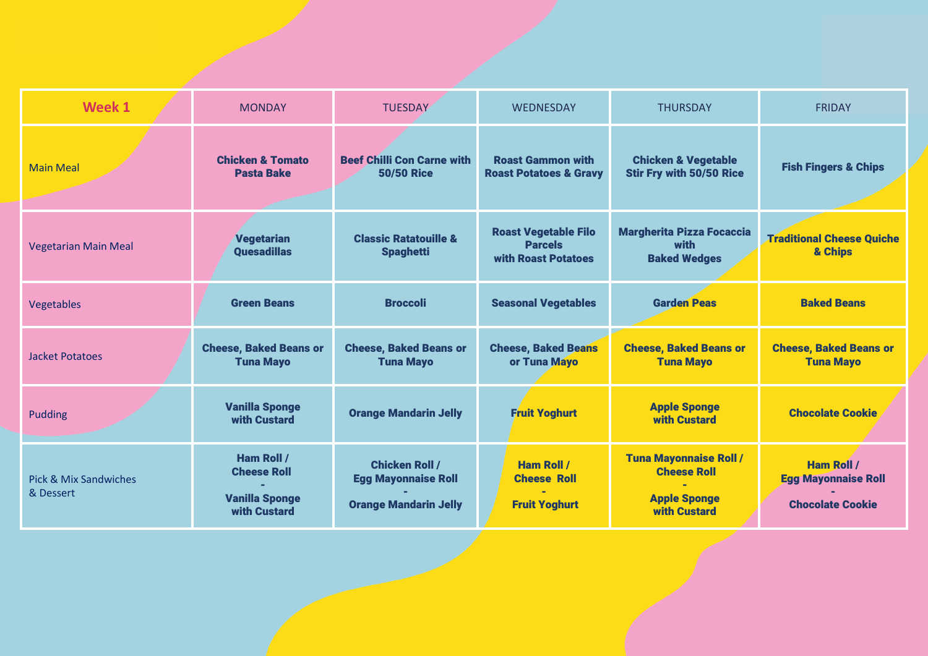| Week 1                                        | <b>MONDAY</b>                                                                    | <b>TUESDAY</b>                                                                      | <b>WEDNESDAY</b>                                                     | <b>THURSDAY</b>                                                                                   | <b>FRIDAY</b>                                                              |
|-----------------------------------------------|----------------------------------------------------------------------------------|-------------------------------------------------------------------------------------|----------------------------------------------------------------------|---------------------------------------------------------------------------------------------------|----------------------------------------------------------------------------|
| <b>Main Meal</b>                              | <b>Chicken &amp; Tomato</b><br><b>Pasta Bake</b>                                 | <b>Beef Chilli Con Carne with</b><br><b>50/50 Rice</b>                              | <b>Roast Gammon with</b><br><b>Roast Potatoes &amp; Gravy</b>        | <b>Chicken &amp; Vegetable</b><br><b>Stir Fry with 50/50 Rice</b>                                 | <b>Fish Fingers &amp; Chips</b>                                            |
| <b>Vegetarian Main Meal</b>                   | <b>Vegetarian</b><br><b>Quesadillas</b>                                          | <b>Classic Ratatouille &amp;</b><br><b>Spaghetti</b>                                | <b>Roast Vegetable Filo</b><br><b>Parcels</b><br>with Roast Potatoes | <b>Margherita Pizza Focaccia</b><br>with<br><b>Baked Wedges</b>                                   | <b>Traditional Cheese Quiche</b><br>& Chips                                |
| Vegetables                                    | <b>Green Beans</b>                                                               | <b>Broccoli</b>                                                                     | <b>Seasonal Vegetables</b>                                           | <b>Garden Peas</b>                                                                                | <b>Baked Beans</b>                                                         |
| <b>Jacket Potatoes</b>                        | <b>Cheese, Baked Beans or</b><br><b>Tuna Mayo</b>                                | <b>Cheese, Baked Beans or</b><br><b>Tuna Mayo</b>                                   | <b>Cheese, Baked Beans</b><br>or Tuna Mayo                           | <b>Cheese, Baked Beans or</b><br><b>Tuna Mayo</b>                                                 | <b>Cheese, Baked Beans or</b><br><b>Tuna Mayo</b>                          |
| <b>Pudding</b>                                | <b>Vanilla Sponge</b><br>with Custard                                            | <b>Orange Mandarin Jelly</b>                                                        | <b>Fruit Yoghurt</b>                                                 | <b>Apple Sponge</b><br>with Custard                                                               | <b>Chocolate Cookie</b>                                                    |
| <b>Pick &amp; Mix Sandwiches</b><br>& Dessert | <b>Ham Roll /</b><br><b>Cheese Roll</b><br><b>Vanilla Sponge</b><br>with Custard | <b>Chicken Roll /</b><br><b>Egg Mayonnaise Roll</b><br><b>Orange Mandarin Jelly</b> | <b>Ham Roll /</b><br><b>Cheese Roll</b><br><b>Fruit Yoghurt</b>      | <b>Tuna Mayonnaise Roll /</b><br><b>Cheese Roll</b><br><b>Apple Sponge</b><br><b>with Custard</b> | <b>Ham Roll /</b><br><b>Egg Mayonnaise Roll</b><br><b>Chocolate Cookie</b> |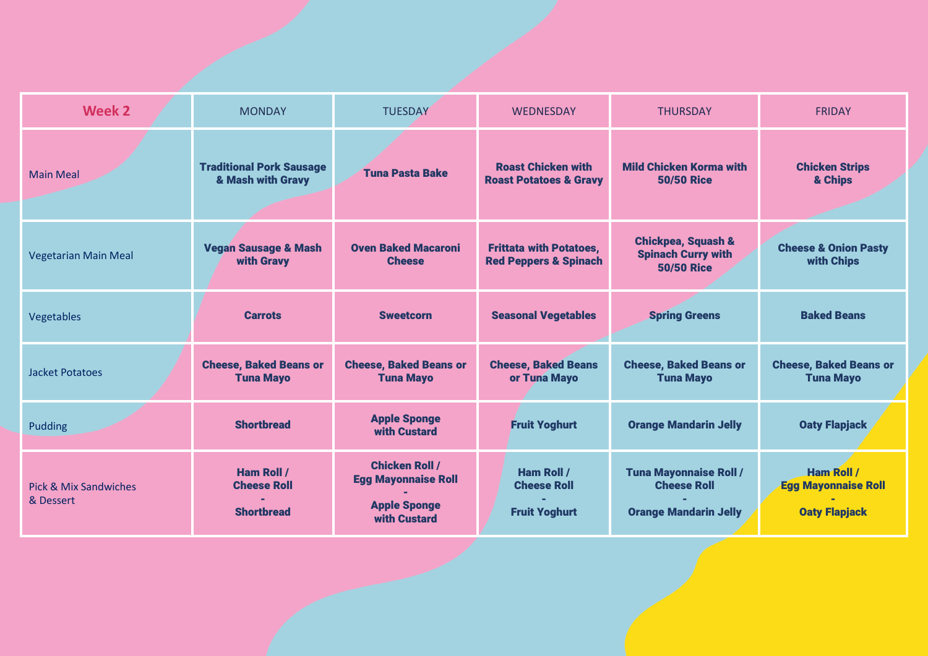| <b>Week 2</b>                                 | <b>MONDAY</b>                                                | <b>TUESDAY</b>                                                                             | <b>WEDNESDAY</b>                                                   | <b>THURSDAY</b>                                                                     | <b>FRIDAY</b>                                                           |
|-----------------------------------------------|--------------------------------------------------------------|--------------------------------------------------------------------------------------------|--------------------------------------------------------------------|-------------------------------------------------------------------------------------|-------------------------------------------------------------------------|
| <b>Main Meal</b>                              | <b>Traditional Pork Sausage</b><br>& Mash with Gravy         | <b>Tuna Pasta Bake</b>                                                                     | <b>Roast Chicken with</b><br><b>Roast Potatoes &amp; Gravy</b>     | <b>Mild Chicken Korma with</b><br><b>50/50 Rice</b>                                 | <b>Chicken Strips</b><br>& Chips                                        |
| <b>Vegetarian Main Meal</b>                   | <b>Vegan Sausage &amp; Mash</b><br>with Gravy                | <b>Oven Baked Macaroni</b><br><b>Cheese</b>                                                | <b>Frittata with Potatoes,</b><br><b>Red Peppers &amp; Spinach</b> | <b>Chickpea, Squash &amp;</b><br><b>Spinach Curry with</b><br><b>50/50 Rice</b>     | <b>Cheese &amp; Onion Pasty</b><br>with Chips                           |
| Vegetables                                    | <b>Carrots</b>                                               | <b>Sweetcorn</b>                                                                           | <b>Seasonal Vegetables</b>                                         | <b>Spring Greens</b>                                                                | <b>Baked Beans</b>                                                      |
| <b>Jacket Potatoes</b>                        | <b>Cheese, Baked Beans or</b><br><b>Tuna Mayo</b>            | <b>Cheese, Baked Beans or</b><br><b>Tuna Mayo</b>                                          | <b>Cheese, Baked Beans</b><br>or Tuna Mayo                         | <b>Cheese, Baked Beans or</b><br><b>Tuna Mayo</b>                                   | <b>Cheese, Baked Beans or</b><br><b>Tuna Mayo</b>                       |
| Pudding                                       | <b>Shortbread</b>                                            | <b>Apple Sponge</b><br>with Custard                                                        | <b>Fruit Yoghurt</b>                                               | <b>Orange Mandarin Jelly</b>                                                        | <b>Oaty Flapjack</b>                                                    |
| <b>Pick &amp; Mix Sandwiches</b><br>& Dessert | <b>Ham Roll /</b><br><b>Cheese Roll</b><br><b>Shortbread</b> | <b>Chicken Roll /</b><br><b>Egg Mayonnaise Roll</b><br><b>Apple Sponge</b><br>with Custard | <b>Ham Roll /</b><br><b>Cheese Roll</b><br><b>Fruit Yoghurt</b>    | <b>Tuna Mayonnaise Roll /</b><br><b>Cheese Roll</b><br><b>Orange Mandarin Jelly</b> | <b>Ham Roll /</b><br><b>Egg Mayonnaise Roll</b><br><b>Oaty Flapjack</b> |